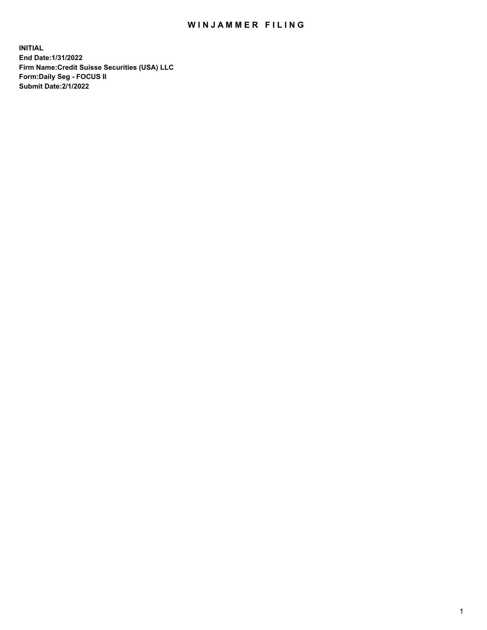## WIN JAMMER FILING

**INITIAL End Date:1/31/2022 Firm Name:Credit Suisse Securities (USA) LLC Form:Daily Seg - FOCUS II Submit Date:2/1/2022**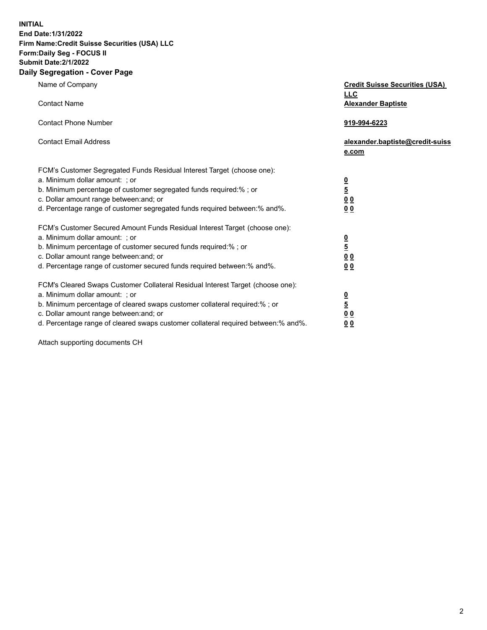**INITIAL** 

## **End Date:1/31/2022 Firm Name:Credit Suisse Securities (USA) LLC Form:Daily Seg - FOCUS II Submit Date:2/1/2022**

## **Daily Segregation - Cover Page**

| Name of Company<br><b>Contact Name</b>                                                                                                                                                                                                                                                                                         | <b>Credit Suisse Securities (USA)</b><br><b>LLC</b><br><b>Alexander Baptiste</b> |
|--------------------------------------------------------------------------------------------------------------------------------------------------------------------------------------------------------------------------------------------------------------------------------------------------------------------------------|----------------------------------------------------------------------------------|
| <b>Contact Phone Number</b>                                                                                                                                                                                                                                                                                                    | 919-994-6223                                                                     |
| <b>Contact Email Address</b>                                                                                                                                                                                                                                                                                                   | alexander.baptiste@credit-suiss<br>e.com                                         |
| FCM's Customer Segregated Funds Residual Interest Target (choose one):<br>a. Minimum dollar amount: ; or<br>b. Minimum percentage of customer segregated funds required:%; or<br>c. Dollar amount range between: and; or<br>d. Percentage range of customer segregated funds required between:% and%.                          | $\frac{\frac{0}{5}}{\frac{0}{0}}$<br>0 <sub>0</sub>                              |
| FCM's Customer Secured Amount Funds Residual Interest Target (choose one):<br>a. Minimum dollar amount: ; or<br>b. Minimum percentage of customer secured funds required:%; or<br>c. Dollar amount range between: and; or<br>d. Percentage range of customer secured funds required between:% and%.                            | $\frac{0}{5}$<br>$\underline{0}$ $\underline{0}$<br>0 <sub>0</sub>               |
| FCM's Cleared Swaps Customer Collateral Residual Interest Target (choose one):<br>a. Minimum dollar amount: ; or<br>b. Minimum percentage of cleared swaps customer collateral required:% ; or<br>c. Dollar amount range between: and; or<br>d. Percentage range of cleared swaps customer collateral required between:% and%. | $\frac{0}{5}$<br>0 <sub>0</sub><br>0 <sub>0</sub>                                |

Attach supporting documents CH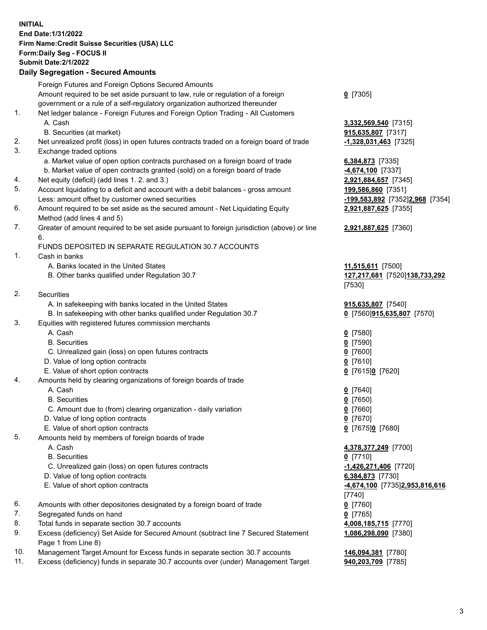**INITIAL End Date:1/31/2022 Firm Name:Credit Suisse Securities (USA) LLC Form:Daily Seg - FOCUS II Submit Date:2/1/2022** 

## **Daily Segregation - Secured Amounts**

|     | Foreign Futures and Foreign Options Secured Amounts                                                        |                                 |
|-----|------------------------------------------------------------------------------------------------------------|---------------------------------|
|     | Amount required to be set aside pursuant to law, rule or regulation of a foreign                           | $0$ [7305]                      |
|     | government or a rule of a self-regulatory organization authorized thereunder                               |                                 |
| 1.  | Net ledger balance - Foreign Futures and Foreign Option Trading - All Customers                            |                                 |
|     | A. Cash                                                                                                    | 3,332,569,540 [7315]            |
|     | B. Securities (at market)                                                                                  | 915,635,807 [7317]              |
| 2.  | Net unrealized profit (loss) in open futures contracts traded on a foreign board of trade                  | $-1,328,031,463$ [7325]         |
| 3.  | Exchange traded options                                                                                    |                                 |
|     | a. Market value of open option contracts purchased on a foreign board of trade                             | 6,384,873 [7335]                |
|     | b. Market value of open contracts granted (sold) on a foreign board of trade                               | 4,674,100 [7337]                |
| 4.  | Net equity (deficit) (add lines 1. 2. and 3.)                                                              | 2,921,884,657 [7345]            |
| 5.  | Account liquidating to a deficit and account with a debit balances - gross amount                          | 199,586,860 [7351]              |
|     | Less: amount offset by customer owned securities                                                           | -199,583,892 [7352]2,968 [7354] |
| 6.  | Amount required to be set aside as the secured amount - Net Liquidating Equity                             | 2,921,887,625 [7355]            |
|     | Method (add lines 4 and 5)                                                                                 |                                 |
| 7.  | Greater of amount required to be set aside pursuant to foreign jurisdiction (above) or line                | 2,921,887,625 [7360]            |
|     | 6.                                                                                                         |                                 |
|     | FUNDS DEPOSITED IN SEPARATE REGULATION 30.7 ACCOUNTS                                                       |                                 |
| 1.  | Cash in banks                                                                                              |                                 |
|     | A. Banks located in the United States                                                                      | 11,515,611 [7500]               |
|     | B. Other banks qualified under Regulation 30.7                                                             | 127,217,681 [7520]138,733,292   |
|     |                                                                                                            | $[7530]$                        |
| 2.  | <b>Securities</b>                                                                                          |                                 |
|     | A. In safekeeping with banks located in the United States                                                  | 915,635,807 [7540]              |
|     | B. In safekeeping with other banks qualified under Regulation 30.7                                         | 0 [7560]915,635,807 [7570]      |
| 3.  | Equities with registered futures commission merchants                                                      |                                 |
|     | A. Cash                                                                                                    | $0$ [7580]                      |
|     | <b>B.</b> Securities                                                                                       | $0$ [7590]                      |
|     | C. Unrealized gain (loss) on open futures contracts                                                        | $Q$ [7600]                      |
|     | D. Value of long option contracts                                                                          | $0$ [7610]                      |
|     | E. Value of short option contracts                                                                         | 0 [7615]0 [7620]                |
| 4.  | Amounts held by clearing organizations of foreign boards of trade                                          |                                 |
|     | A. Cash                                                                                                    | $0$ [7640]                      |
|     | <b>B.</b> Securities                                                                                       | $0$ [7650]                      |
|     | C. Amount due to (from) clearing organization - daily variation                                            | 0 [7660]                        |
|     | D. Value of long option contracts                                                                          | $0$ [7670]                      |
|     | E. Value of short option contracts                                                                         | 0 [7675]0 [7680]                |
| 5.  | Amounts held by members of foreign boards of trade                                                         |                                 |
|     | A. Cash                                                                                                    | 4,378,377,249 [7700]            |
|     | <b>B.</b> Securities                                                                                       | $0$ [7710]                      |
|     | C. Unrealized gain (loss) on open futures contracts                                                        | -1,426,271,406 [7720]           |
|     | D. Value of long option contracts                                                                          | 6,384,873 [7730]                |
|     | E. Value of short option contracts                                                                         | -4,674,100 [7735]2,953,816,616  |
|     |                                                                                                            | [7740]                          |
| 6.  | Amounts with other depositories designated by a foreign board of trade                                     | $0$ [7760]                      |
| 7.  | Segregated funds on hand                                                                                   | $0$ [7765]                      |
| 8.  | Total funds in separate section 30.7 accounts                                                              | 4,008,185,715 [7770]            |
| 9.  | Excess (deficiency) Set Aside for Secured Amount (subtract line 7 Secured Statement<br>Page 1 from Line 8) | 1,086,298,090 [7380]            |
| 10. | Management Target Amount for Excess funds in separate section 30.7 accounts                                | 146,094,381 [7780]              |
| 11. | Excess (deficiency) funds in separate 30.7 accounts over (under) Management Target                         | 940,203,709 [7785]              |
|     |                                                                                                            |                                 |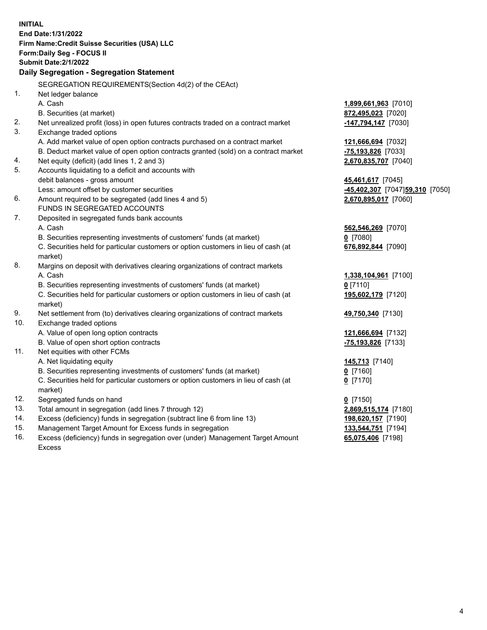|     | <b>INITIAL</b><br>End Date: 1/31/2022<br>Firm Name: Credit Suisse Securities (USA) LLC<br><b>Form:Daily Seg - FOCUS II</b><br><b>Submit Date:2/1/2022</b><br>Daily Segregation - Segregation Statement |                                |
|-----|--------------------------------------------------------------------------------------------------------------------------------------------------------------------------------------------------------|--------------------------------|
|     | SEGREGATION REQUIREMENTS(Section 4d(2) of the CEAct)                                                                                                                                                   |                                |
| 1.  | Net ledger balance                                                                                                                                                                                     |                                |
|     | A. Cash                                                                                                                                                                                                | 1,899,661,963 [7010]           |
|     | B. Securities (at market)                                                                                                                                                                              | 872,495,023 [7020]             |
| 2.  | Net unrealized profit (loss) in open futures contracts traded on a contract market                                                                                                                     | -147,794,147 [7030]            |
| 3.  | Exchange traded options                                                                                                                                                                                |                                |
|     | A. Add market value of open option contracts purchased on a contract market                                                                                                                            | 121,666,694 [7032]             |
|     | B. Deduct market value of open option contracts granted (sold) on a contract market                                                                                                                    | $-75,193,826$ [7033]           |
| 4.  | Net equity (deficit) (add lines 1, 2 and 3)                                                                                                                                                            | 2,670,835,707 [7040]           |
| 5.  | Accounts liquidating to a deficit and accounts with                                                                                                                                                    |                                |
|     | debit balances - gross amount                                                                                                                                                                          | 45,461,617 [7045]              |
|     | Less: amount offset by customer securities                                                                                                                                                             | 45,402,307 [7047]59,310 [7050] |
| 6.  | Amount required to be segregated (add lines 4 and 5)                                                                                                                                                   | 2,670,895,017 [7060]           |
|     | FUNDS IN SEGREGATED ACCOUNTS                                                                                                                                                                           |                                |
| 7.  | Deposited in segregated funds bank accounts                                                                                                                                                            |                                |
|     | A. Cash                                                                                                                                                                                                | 562,546,269 [7070]             |
|     | B. Securities representing investments of customers' funds (at market)                                                                                                                                 | $0$ [7080]                     |
|     | C. Securities held for particular customers or option customers in lieu of cash (at<br>market)                                                                                                         | 676,892,844 [7090]             |
| 8.  | Margins on deposit with derivatives clearing organizations of contract markets                                                                                                                         |                                |
|     | A. Cash                                                                                                                                                                                                | 1,338,104,961 [7100]           |
|     | B. Securities representing investments of customers' funds (at market)                                                                                                                                 | $0$ [7110]                     |
|     | C. Securities held for particular customers or option customers in lieu of cash (at                                                                                                                    | 195,602,179 [7120]             |
|     | market)                                                                                                                                                                                                |                                |
| 9.  | Net settlement from (to) derivatives clearing organizations of contract markets                                                                                                                        | 49,750,340 [7130]              |
| 10. | Exchange traded options                                                                                                                                                                                |                                |
|     | A. Value of open long option contracts                                                                                                                                                                 | 121,666,694 [7132]             |
|     | B. Value of open short option contracts                                                                                                                                                                | -75,193,826 [7133]             |
| 11. | Net equities with other FCMs                                                                                                                                                                           |                                |
|     | A. Net liquidating equity                                                                                                                                                                              | 145,713 [7140]                 |
|     | B. Securities representing investments of customers' funds (at market)                                                                                                                                 | 0 [7160]                       |
|     | C. Securities held for particular customers or option customers in lieu of cash (at                                                                                                                    | $0$ [7170]                     |
|     | market)                                                                                                                                                                                                |                                |
| 12. | Segregated funds on hand                                                                                                                                                                               | $0$ [7150]                     |
| 13. | Total amount in segregation (add lines 7 through 12)                                                                                                                                                   | 2,869,515,174 [7180]           |
| 14. | Excess (deficiency) funds in segregation (subtract line 6 from line 13)                                                                                                                                | 198,620,157 [7190]             |
| 15. | Management Target Amount for Excess funds in segregation                                                                                                                                               | 133,544,751 [7194]             |
| 16. | Excess (deficiency) funds in segregation over (under) Management Target Amount                                                                                                                         | 65,075,406 [7198]              |
|     | <b>Excess</b>                                                                                                                                                                                          |                                |